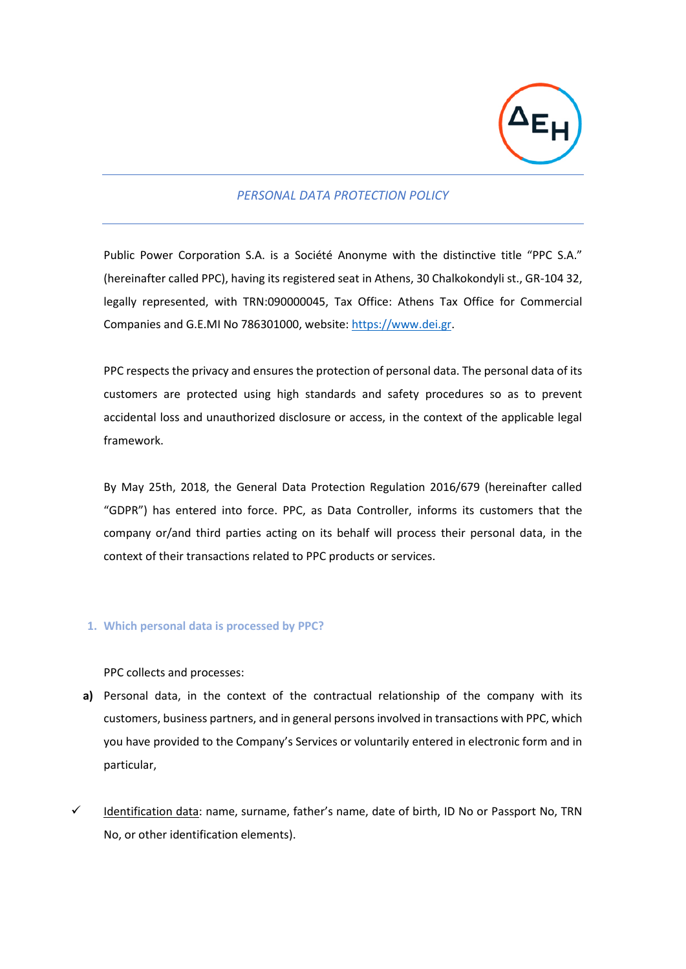

# *PERSONAL DATA PROTECTION POLICY*

Public Power Corporation S.A. is a Société Anonyme with the distinctive title "PPC S.A." (hereinafter called PPC), having its registered seat in Athens, 30 Chalkokondyli st., GR-104 32, legally represented, with TRN:090000045, Tax Office: Athens Tax Office for Commercial Companies and G.E.MI No 786301000, website: [https://www.dei.gr.](https://www.dei.gr/)

PPC respects the privacy and ensures the protection of personal data. The personal data of its customers are protected using high standards and safety procedures so as to prevent accidental loss and unauthorized disclosure or access, in the context of the applicable legal framework.

By May 25th, 2018, the General Data Protection Regulation 2016/679 (hereinafter called "GDPR") has entered into force. PPC, as Data Controller, informs its customers that the company or/and third parties acting on its behalf will process their personal data, in the context of their transactions related to PPC products or services.

## **1. Which personal data is processed by PPC?**

PPC collects and processes:

- **a)** Personal data, in the context of the contractual relationship of the company with its customers, business partners, and in general persons involved in transactions with PPC, which you have provided to the Company's Services or voluntarily entered in electronic form and in particular,
- ✓ Identification data: name, surname, father's name, date of birth, ID No or Passport No, TRN No, or other identification elements).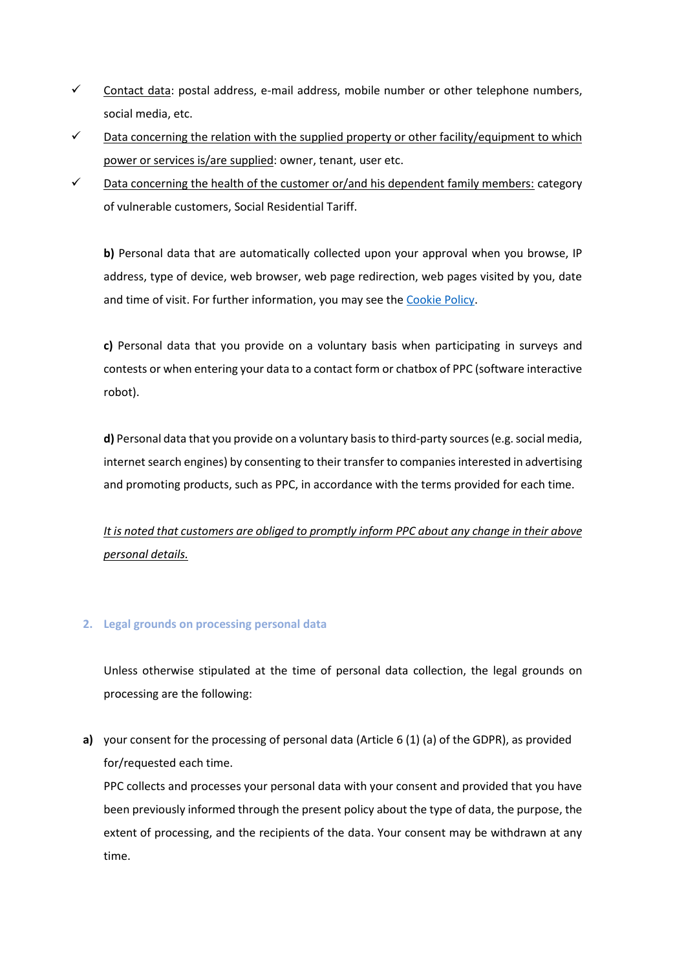- $\checkmark$  Contact data: postal address, e-mail address, mobile number or other telephone numbers, social media, etc.
- $\checkmark$  Data concerning the relation with the supplied property or other facility/equipment to which power or services is/are supplied: owner, tenant, user etc.
- $\checkmark$  Data concerning the health of the customer or/and his dependent family members: category of vulnerable customers, Social Residential Tariff.

**b)** Personal data that are automatically collected upon your approval when you browse, IP address, type of device, web browser, web page redirection, web pages visited by you, date and time of visit. For further information, you may see th[e Cookie Policy.](https://www.dei.gr/en/cookie-policy/)

**c)** Personal data that you provide on a voluntary basis when participating in surveys and contests or when entering your data to a contact form or chatbox of PPC (software interactive robot).

**d)** Personal data that you provide on a voluntary basis to third-party sources (e.g. social media, internet search engines) by consenting to their transfer to companies interested in advertising and promoting products, such as PPC, in accordance with the terms provided for each time.

*It is noted that customers are obliged to promptly inform PPC about any change in their above personal details.*

# **2. Legal grounds on processing personal data**

Unless otherwise stipulated at the time of personal data collection, the legal grounds on processing are the following:

**a)** your consent for the processing of personal data (Article 6 (1) (a) of the GDPR), as provided for/requested each time.

PPC collects and processes your personal data with your consent and provided that you have been previously informed through the present policy about the type of data, the purpose, the extent of processing, and the recipients of the data. Your consent may be withdrawn at any time.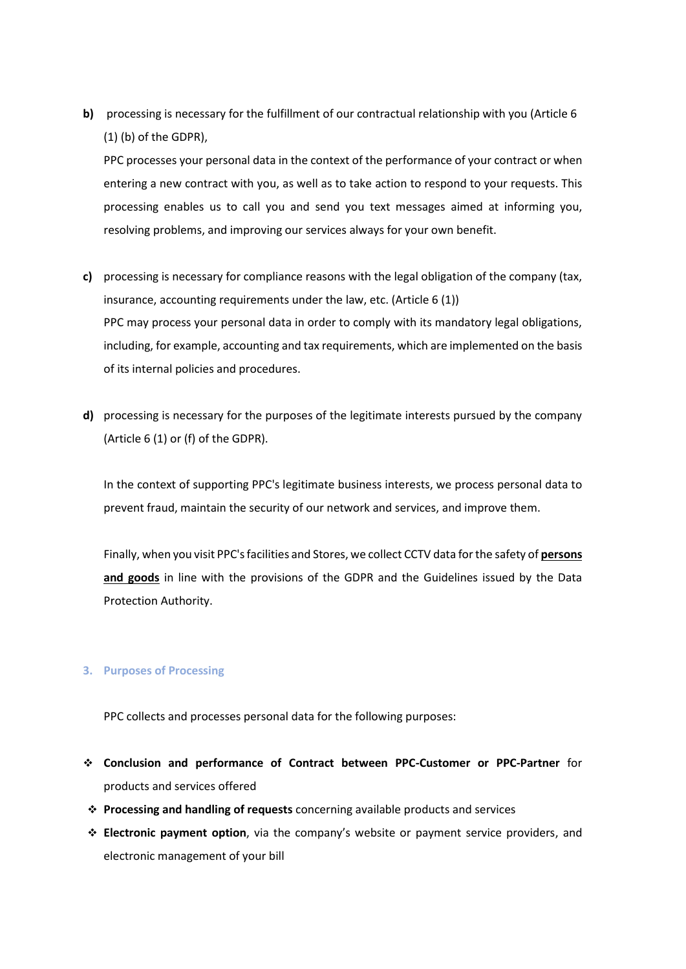**b)** processing is necessary for the fulfillment of our contractual relationship with you (Article 6 (1) (b) of the GDPR),

PPC processes your personal data in the context of the performance of your contract or when entering a new contract with you, as well as to take action to respond to your requests. This processing enables us to call you and send you text messages aimed at informing you, resolving problems, and improving our services always for your own benefit.

- **c)** processing is necessary for compliance reasons with the legal obligation of the company (tax, insurance, accounting requirements under the law, etc. (Article 6 (1)) PPC may process your personal data in order to comply with its mandatory legal obligations, including, for example, accounting and tax requirements, which are implemented on the basis of its internal policies and procedures.
- **d)** processing is necessary for the purposes of the legitimate interests pursued by the company (Article 6 (1) or (f) of the GDPR).

In the context of supporting PPC's legitimate business interests, we process personal data to prevent fraud, maintain the security of our network and services, and improve them.

Finally, when you visit PPC's facilities and Stores, we collect CCTV data for the safety of **persons and goods** in line with the provisions of the GDPR and the Guidelines issued by the Data Protection Authority.

## **3. Purposes of Processing**

PPC collects and processes personal data for the following purposes:

- ❖ **Conclusion and performance of Contract between PPC-Customer or PPC-Partner** for products and services offered
- ❖ **Processing and handling of requests** concerning available products and services
- ❖ **Electronic payment option**, via the company's website or payment service providers, and electronic management of your bill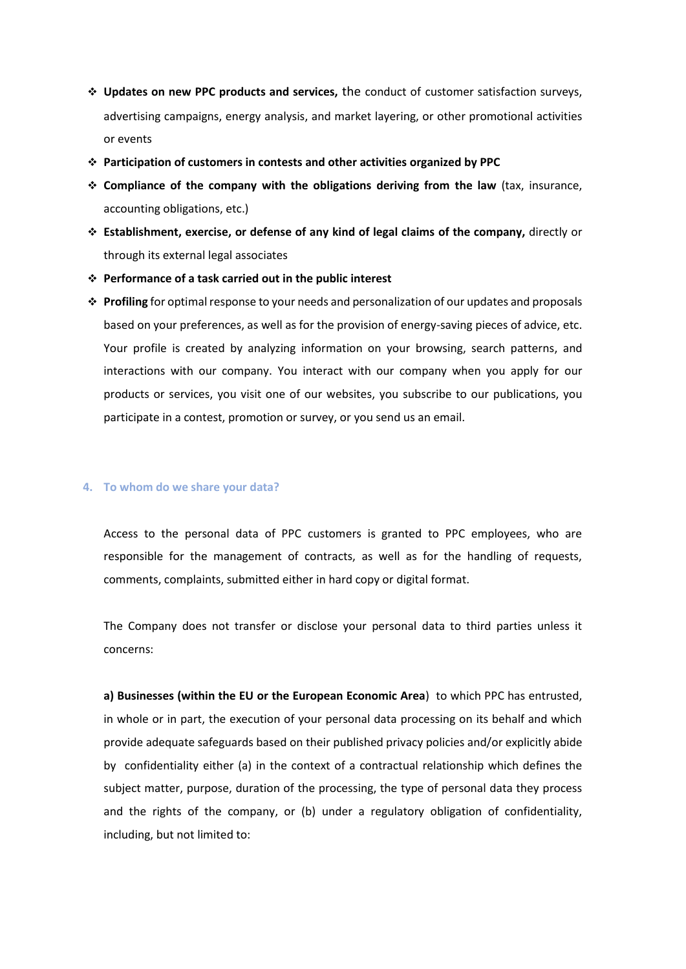- ❖ **Updates on new PPC products and services,** the conduct of customer satisfaction surveys, advertising campaigns, energy analysis, and market layering, or other promotional activities or events
- ❖ **Participation of customers in contests and other activities organized by PPC**
- ❖ **Compliance of the company with the obligations deriving from the law** (tax, insurance, accounting obligations, etc.)
- ❖ **Establishment, exercise, or defense of any kind of legal claims of the company,** directly or through its external legal associates
- ❖ **Performance of a task carried out in the public interest**
- ❖ **Profiling** for optimal response to your needs and personalization of our updates and proposals based on your preferences, as well as for the provision of energy-saving pieces of advice, etc. Your profile is created by analyzing information on your browsing, search patterns, and interactions with our company. You interact with our company when you apply for our products or services, you visit one of our websites, you subscribe to our publications, you participate in a contest, promotion or survey, or you send us an email.

#### **4. To whom do we share your data?**

Access to the personal data of PPC customers is granted to PPC employees, who are responsible for the management of contracts, as well as for the handling of requests, comments, complaints, submitted either in hard copy or digital format.

The Company does not transfer or disclose your personal data to third parties unless it concerns:

**a) Businesses (within the EU or the European Economic Area**) to which PPC has entrusted, in whole or in part, the execution of your personal data processing on its behalf and which provide adequate safeguards based on their published privacy policies and/or explicitly abide by confidentiality either (a) in the context of a contractual relationship which defines the subject matter, purpose, duration of the processing, the type of personal data they process and the rights of the company, or (b) under a regulatory obligation of confidentiality, including, but not limited to: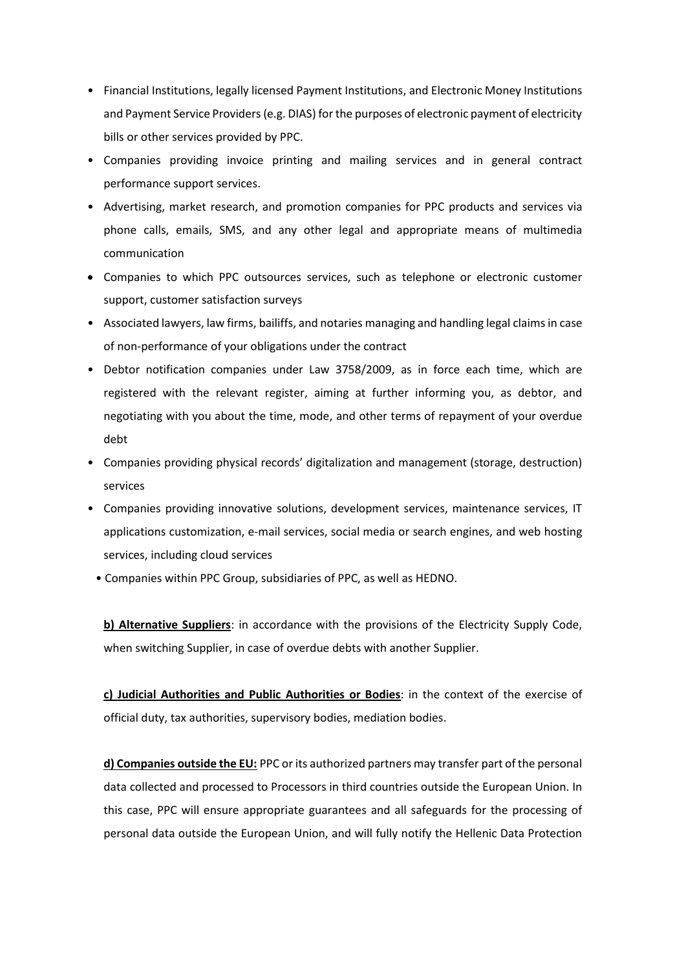- Financial Institutions, legally licensed Payment Institutions, and Electronic Money Institutions and Payment Service Providers (e.g. DIAS) for the purposes of electronic payment of electricity bills or other services provided by PPC.
- Companies providing invoice printing and mailing services and in general contract performance support services.
- Advertising, market research, and promotion companies for PPC products and services via phone calls, emails, SMS, and any other legal and appropriate means of multimedia communication
- Companies to which PPC outsources services, such as telephone or electronic customer support, customer satisfaction surveys
- Associated lawyers, law firms, bailiffs, and notaries managing and handling legal claims in case of non-performance of your obligations under the contract
- Debtor notification companies under Law 3758/2009, as in force each time, which are registered with the relevant register, aiming at further informing you, as debtor, and negotiating with you about the time, mode, and other terms of repayment of your overdue debt
- Companies providing physical records' digitalization and management (storage, destruction) services
- Companies providing innovative solutions, development services, maintenance services, IT applications customization, e-mail services, social media or search engines, and web hosting services, including cloud services
- Companies within PPC Group, subsidiaries of PPC, as well as HEDNO.

**b) Alternative Suppliers**: in accordance with the provisions of the Electricity Supply Code, when switching Supplier, in case of overdue debts with another Supplier.

**c) Judicial Authorities and Public Authorities or Bodies**: in the context of the exercise of official duty, tax authorities, supervisory bodies, mediation bodies.

**d) Companies outside the EU:** PPC or its authorized partners may transfer part of the personal data collected and processed to Processors in third countries outside the European Union. In this case, PPC will ensure appropriate guarantees and all safeguards for the processing of personal data outside the European Union, and will fully notify the Hellenic Data Protection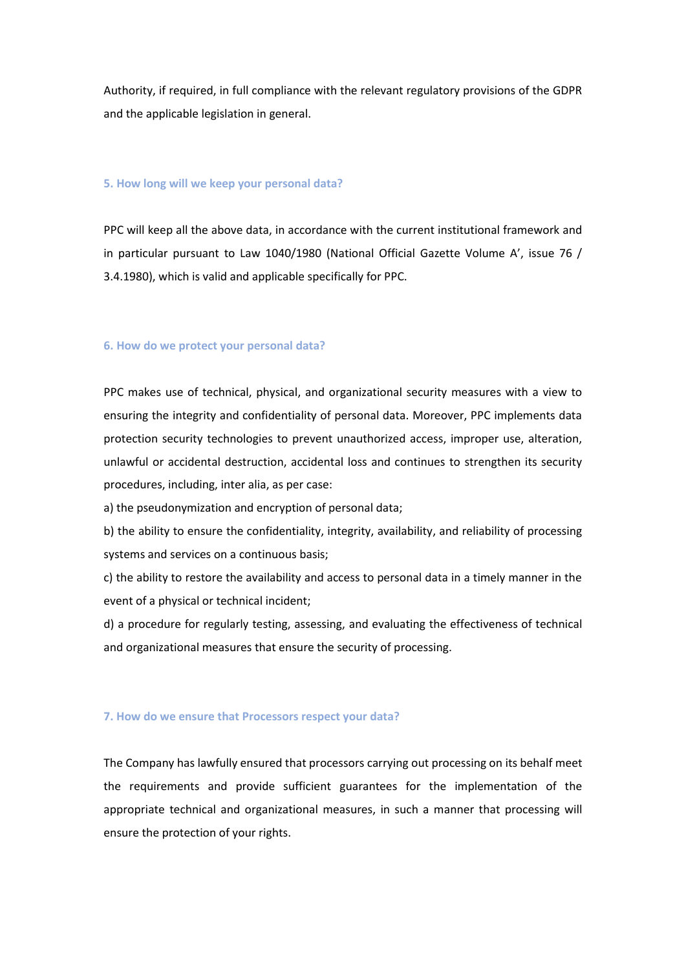Authority, if required, in full compliance with the relevant regulatory provisions of the GDPR and the applicable legislation in general.

### **5. How long will we keep your personal data?**

PPC will keep all the above data, in accordance with the current institutional framework and in particular pursuant to Law 1040/1980 (National Official Gazette Volume A', issue 76 / 3.4.1980), which is valid and applicable specifically for PPC.

## **6. How do we protect your personal data?**

PPC makes use of technical, physical, and organizational security measures with a view to ensuring the integrity and confidentiality of personal data. Moreover, PPC implements data protection security technologies to prevent unauthorized access, improper use, alteration, unlawful or accidental destruction, accidental loss and continues to strengthen its security procedures, including, inter alia, as per case:

a) the pseudonymization and encryption of personal data;

b) the ability to ensure the confidentiality, integrity, availability, and reliability of processing systems and services on a continuous basis;

c) the ability to restore the availability and access to personal data in a timely manner in the event of a physical or technical incident;

d) a procedure for regularly testing, assessing, and evaluating the effectiveness of technical and organizational measures that ensure the security of processing.

### **7. How do we ensure that Processors respect your data?**

The Company has lawfully ensured that processors carrying out processing on its behalf meet the requirements and provide sufficient guarantees for the implementation of the appropriate technical and organizational measures, in such a manner that processing will ensure the protection of your rights.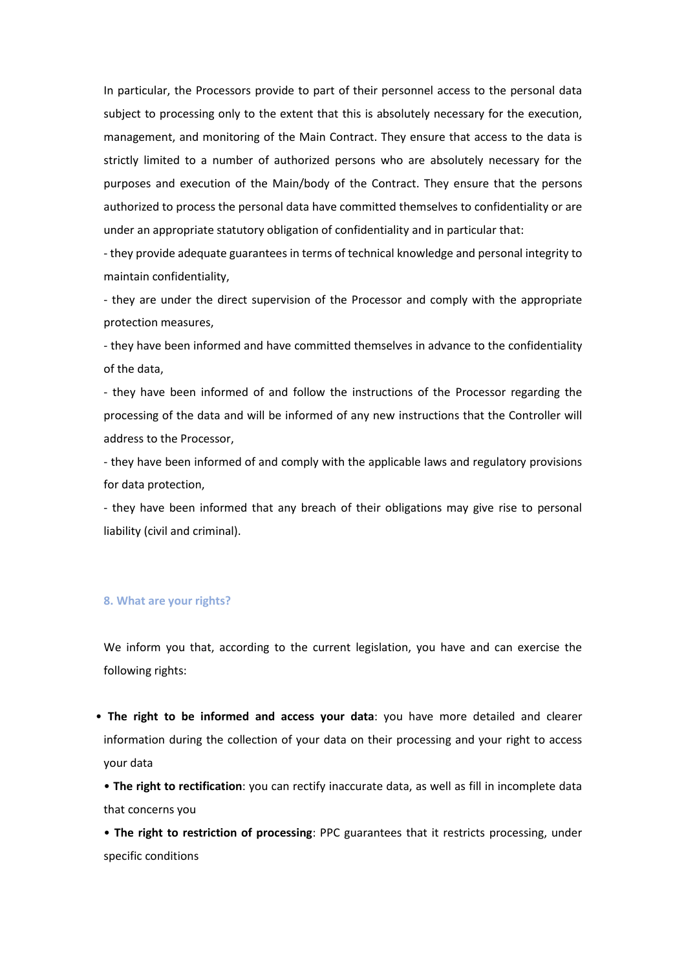In particular, the Processors provide to part of their personnel access to the personal data subject to processing only to the extent that this is absolutely necessary for the execution, management, and monitoring of the Main Contract. They ensure that access to the data is strictly limited to a number of authorized persons who are absolutely necessary for the purposes and execution of the Main/body of the Contract. They ensure that the persons authorized to process the personal data have committed themselves to confidentiality or are under an appropriate statutory obligation of confidentiality and in particular that:

- they provide adequate guarantees in terms of technical knowledge and personal integrity to maintain confidentiality,

- they are under the direct supervision of the Processor and comply with the appropriate protection measures,

- they have been informed and have committed themselves in advance to the confidentiality of the data,

- they have been informed of and follow the instructions of the Processor regarding the processing of the data and will be informed of any new instructions that the Controller will address to the Processor,

- they have been informed of and comply with the applicable laws and regulatory provisions for data protection,

- they have been informed that any breach of their obligations may give rise to personal liability (civil and criminal).

### **8. What are your rights?**

We inform you that, according to the current legislation, you have and can exercise the following rights:

• **The right to be informed and access your data**: you have more detailed and clearer information during the collection of your data on their processing and your right to access your data

• **The right to rectification**: you can rectify inaccurate data, as well as fill in incomplete data that concerns you

• **The right to restriction of processing**: PPC guarantees that it restricts processing, under specific conditions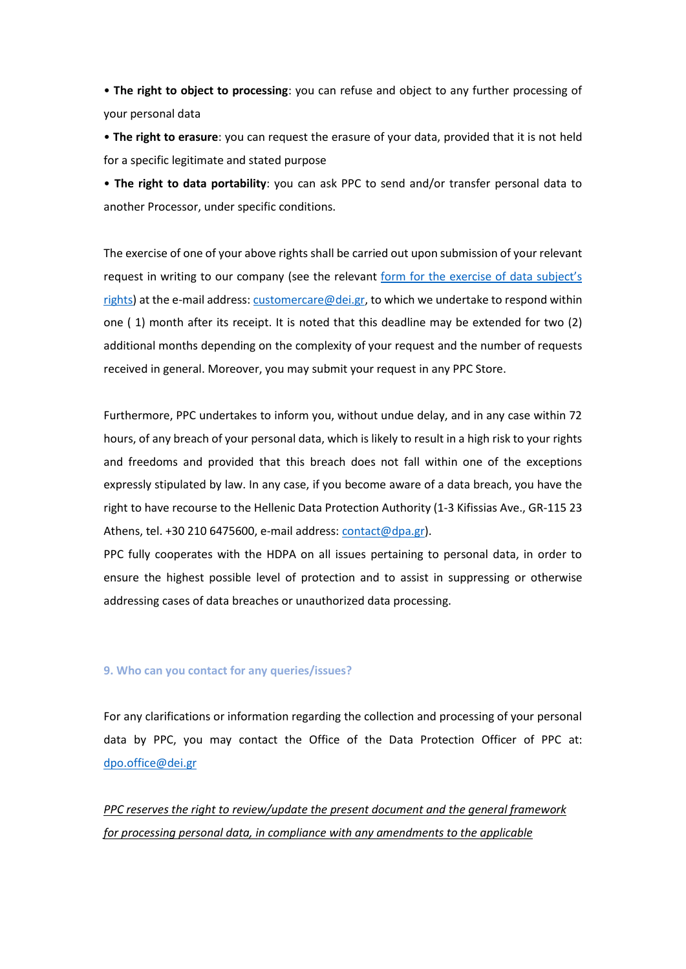• **The right to object to processing**: you can refuse and object to any further processing of your personal data

• **The right to erasure**: you can request the erasure of your data, provided that it is not held for a specific legitimate and stated purpose

• **The right to data portability**: you can ask PPC to send and/or transfer personal data to another Processor, under specific conditions.

The exercise of one of your above rights shall be carried out upon submission of your relevant request in writing to our company (see the relevant [form for the exercise of data subject's](https://www.dei.gr/media/q2knvmgx/entupo-askhshs-dikaiomaton-deh-26112021-en.pdf)  [rights\)](https://www.dei.gr/media/q2knvmgx/entupo-askhshs-dikaiomaton-deh-26112021-en.pdf) at the e-mail address[: customercare@dei.gr,](mailto:customercare@dei.gr) to which we undertake to respond within one ( 1) month after its receipt. It is noted that this deadline may be extended for two (2) additional months depending on the complexity of your request and the number of requests received in general. Moreover, you may submit your request in any PPC Store.

Furthermore, PPC undertakes to inform you, without undue delay, and in any case within 72 hours, of any breach of your personal data, which is likely to result in a high risk to your rights and freedoms and provided that this breach does not fall within one of the exceptions expressly stipulated by law. In any case, if you become aware of a data breach, you have the right to have recourse to the Hellenic Data Protection Authority (1-3 Kifissias Ave., GR-115 23 Athens, tel. +30 210 6475600, e-mail address[: contact@dpa.gr\)](mailto:contact@dpa.gr).

PPC fully cooperates with the HDPA on all issues pertaining to personal data, in order to ensure the highest possible level of protection and to assist in suppressing or otherwise addressing cases of data breaches or unauthorized data processing.

#### **9. Who can you contact for any queries/issues?**

For any clarifications or information regarding the collection and processing of your personal data by PPC, you may contact the Office of the Data Protection Officer of PPC at: [dpo.office@dei.gr](mailto:dpo.office@dei.gr)

*PPC reserves the right to review/update the present document and the general framework for processing personal data, in compliance with any amendments to the applicable*